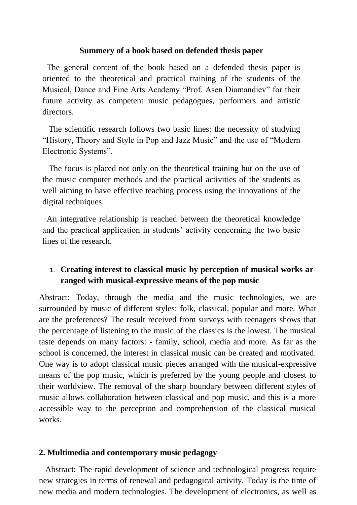## **Summery of a book based on defended thesis paper**

 The general content of the book based on a defended thesis paper is oriented to the theoretical and practical training of the students of the Musical, Dance and Fine Arts Academy "Prof. Asen Diamandiev" for their future activity as competent music pedagogues, performers and artistic directors.

 The scientific research follows two basic lines: the necessity of studying "History, Theory and Style in Pop and Jazz Music" and the use of "Modern Electronic Systems".

 The focus is placed not only on the theoretical training but on the use of the music computer methods and the practical activities of the students as well aiming to have effective teaching process using the innovations of the digital techniques.

 An integrative relationship is reached between the theoretical knowledge and the practical application in students' activity concerning the two basic lines of the research.

## 1. **Creating interest to classical music by perception of musical works arranged with musical-expressive means of the pop music**

Abstract: Today, through the media and the music technologies, we are surrounded by music of different styles: folk, classical, popular and more. What are the preferences? The result received from surveys with teenagers shows that the percentage of listening to the music of the classics is the lowest. The musical taste depends on many factors: - family, school, media and more. As far as the school is concerned, the interest in classical music can be created and motivated. One way is to adopt classical music pieces arranged with the musical-expressive means of the pop music, which is preferred by the young people and closest to their worldview. The removal of the sharp boundary between different styles of music allows collaboration between classical and pop music, and this is a more accessible way to the perception and comprehension of the classical musical works.

## **2. Multimedia and contemporary music pedagogy**

 Abstract: The rapid development of science and technological progress require new strategies in terms of renewal and pedagogical activity. Today is the time of new media and modern technologies. The development of electronics, as well as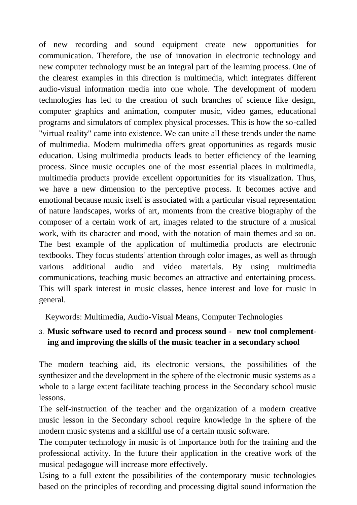of new recording and sound equipment create new opportunities for communication. Therefore, the use of innovation in electronic technology and new computer technology must be an integral part of the learning process. One of the clearest examples in this direction is multimedia, which integrates different audio-visual information media into one whole. The development of modern technologies has led to the creation of such branches of science like design, computer graphics and animation, computer music, video games, educational programs and simulators of complex physical processes. This is how the so-called "virtual reality" came into existence. We can unite all these trends under the name of multimedia. Modern multimedia offers great opportunities as regards music education. Using multimedia products leads to better efficiency of the learning process. Since music occupies one of the most essential places in multimedia, multimedia products provide excellent opportunities for its visualization. Thus, we have a new dimension to the perceptive process. It becomes active and emotional because music itself is associated with a particular visual representation of nature landscapes, works of art, moments from the creative biography of the composer of a certain work of art, images related to the structure of a musical work, with its character and mood, with the notation of main themes and so on. The best example of the application of multimedia products are electronic textbooks. They focus students' attention through color images, as well as through various additional audio and video materials. By using multimedia communications, teaching music becomes an attractive and entertaining process. This will spark interest in music classes, hence interest and love for music in general.

Keywords: Multimedia, Audio-Visual Means, Computer Technologies

## 3. **Music software used to record and process sound - new tool complementing and improving the skills of the music teacher in a secondary school**

The modern teaching aid, its electronic versions, the possibilities of the synthesizer and the development in the sphere of the electronic music systems as a whole to a large extent facilitate teaching process in the Secondary school music lessons.

The self-instruction of the teacher and the organization of a modern creative music lesson in the Secondary school require knowledge in the sphere of the modern music systems and a skillful use of a certain music software.

The computer technology in music is of importance both for the training and the professional activity. In the future their application in the creative work of the musical pedagogue will increase more effectively.

Using to a full extent the possibilities of the contemporary music technologies based on the principles of recording and processing digital sound information the